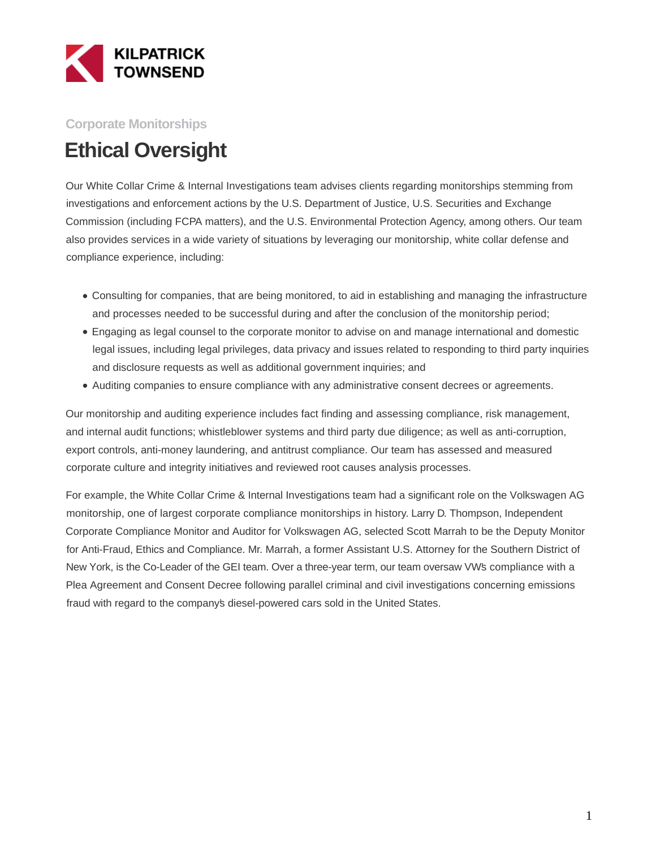

## **Corporate Monitorships**

## **Ethical Oversight**

Our White Collar Crime & Internal Investigations team advises clients regarding monitorships stemming from investigations and enforcement actions by the U.S. Department of Justice, U.S. Securities and Exchange Commission (including FCPA matters), and the U.S. Environmental Protection Agency, among others. Our team also provides services in a wide variety of situations by leveraging our monitorship, white collar defense and compliance experience, including:

- Consulting for companies, that are being monitored, to aid in establishing and managing the infrastructure and processes needed to be successful during and after the conclusion of the monitorship period;
- Engaging as legal counsel to the corporate monitor to advise on and manage international and domestic legal issues, including legal privileges, data privacy and issues related to responding to third party inquiries and disclosure requests as well as additional government inquiries; and
- Auditing companies to ensure compliance with any administrative consent decrees or agreements.

Our monitorship and auditing experience includes fact finding and assessing compliance, risk management, and internal audit functions; whistleblower systems and third party due diligence; as well as anti-corruption, export controls, anti-money laundering, and antitrust compliance. Our team has assessed and measured corporate culture and integrity initiatives and reviewed root causes analysis processes.

For example, the White Collar Crime & Internal Investigations team had a significant role on the Volkswagen AG monitorship, one of largest corporate compliance monitorships in history. Larry D. Thompson, Independent Corporate Compliance Monitor and Auditor for Volkswagen AG, selected Scott Marrah to be the Deputy Monitor for Anti-Fraud, Ethics and Compliance. Mr. Marrah, a former Assistant U.S. Attorney for the Southern District of New York, is the Co-Leader of the GEI team. Over a three-year term, our team oversaw VW's compliance with a Plea Agreement and Consent Decree following parallel criminal and civil investigations concerning emissions fraud with regard to the company's diesel-powered cars sold in the United States.